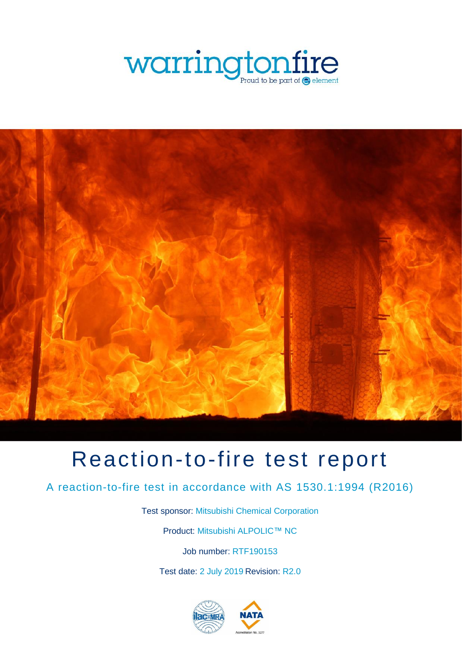



# Reaction-to-fire test report

A reaction-to-fire test in accordance with AS 1530.1:1994 (R2016)

Test sponsor: Mitsubishi Chemical Corporation

Product: Mitsubishi ALPOLIC™ NC

Job number: RTF190153

Test date: 2 July 2019 Revision: R2.0

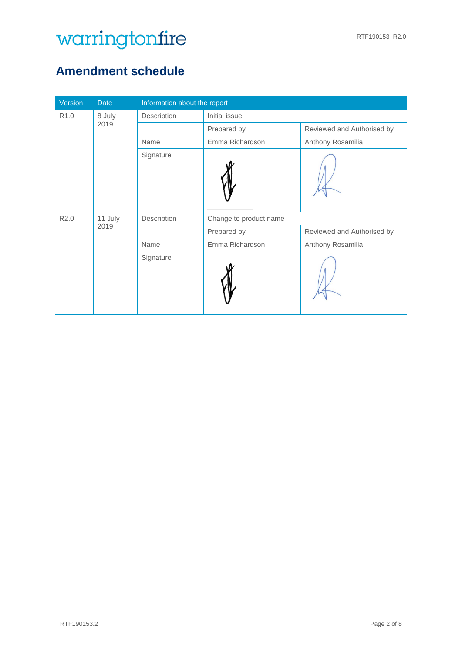## <span id="page-1-0"></span>**Amendment schedule**

| Version          | <b>Date</b>         | Information about the report |                            |                            |  |  |
|------------------|---------------------|------------------------------|----------------------------|----------------------------|--|--|
| R <sub>1.0</sub> | 8 July              | Description<br>Initial issue |                            |                            |  |  |
|                  | 2019<br>Prepared by |                              | Reviewed and Authorised by |                            |  |  |
|                  |                     | Name                         | Emma Richardson            | Anthony Rosamilia          |  |  |
|                  |                     | Signature                    |                            |                            |  |  |
| R <sub>2.0</sub> | 11 July             | Description                  | Change to product name     |                            |  |  |
|                  | 2019                |                              | Prepared by                | Reviewed and Authorised by |  |  |
|                  |                     | Name                         | Emma Richardson            | Anthony Rosamilia          |  |  |
|                  |                     | Signature                    |                            |                            |  |  |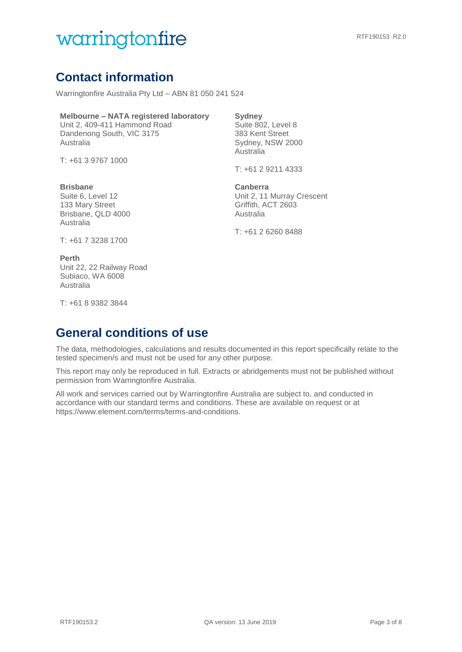## **Contact information**

Warringtonfire Australia Pty Ltd – ABN 81 050 241 524

#### **Melbourne – NATA registered laboratory**

Unit 2, 409-411 Hammond Road Dandenong South, VIC 3175 Australia

T: +61 3 9767 1000

### **Brisbane**

Suite 6, Level 12 133 Mary Street Brisbane, QLD 4000 Australia

### **Sydney**

Suite 802, Level 8 383 Kent Street Sydney, NSW 2000 Australia

T: +61 2 9211 4333

**Canberra**  Unit 2, 11 Murray Crescent Griffith, ACT 2603 Australia

T: +61 2 6260 8488

T: +61 7 3238 1700

#### **Perth**

Unit 22, 22 Railway Road Subiaco, WA 6008 Australia

T: +61 8 9382 3844

## **General conditions of use**

The data, methodologies, calculations and results documented in this report specifically relate to the tested specimen/s and must not be used for any other purpose.

This report may only be reproduced in full. Extracts or abridgements must not be published without permission from Warringtonfire Australia.

All work and services carried out by Warringtonfire Australia are subject to, and conducted in accordance with our standard terms and conditions. These are available on request or at https://www.element.com/terms/terms-and-conditions.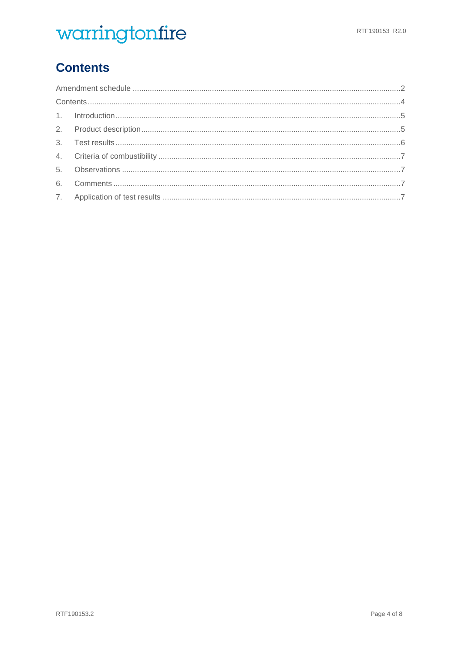## <span id="page-3-0"></span>**Contents**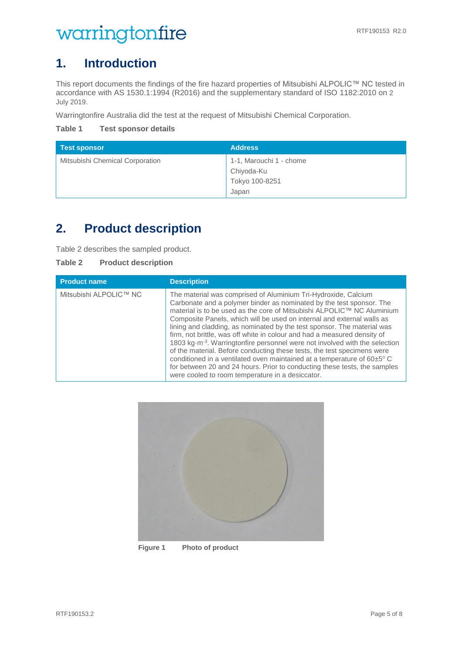### <span id="page-4-0"></span>**1. Introduction**

<span id="page-4-3"></span>This report documents the findings of the fire hazard properties of Mitsubishi ALPOLIC™ NC tested in accordance with AS 1530.1:1994 (R2016) and the supplementary standard of ISO 1182:2010 on 2 July 2019.

Warringtonfire Australia did the test at the request of Mitsubishi Chemical Corporation.

**Table 1 Test sponsor details**

| <b>Test sponsor</b>             | <b>Address</b>          |
|---------------------------------|-------------------------|
| Mitsubishi Chemical Corporation | 1-1, Marouchi 1 - chome |
|                                 | Chiyoda-Ku              |
|                                 | Tokyo 100-8251          |
|                                 | Japan                   |

## <span id="page-4-1"></span>**2. Product description**

[Table 2](#page-4-2) describes the sampled product.

<span id="page-4-2"></span>

| Table 2 | <b>Product description</b> |
|---------|----------------------------|
|         |                            |

| <b>Product name</b>    | <b>Description</b>                                                                                                                                                                                                                                                                                                                                                                                                                                                                                                                                                                                                                                                                                                                                                                                                                         |
|------------------------|--------------------------------------------------------------------------------------------------------------------------------------------------------------------------------------------------------------------------------------------------------------------------------------------------------------------------------------------------------------------------------------------------------------------------------------------------------------------------------------------------------------------------------------------------------------------------------------------------------------------------------------------------------------------------------------------------------------------------------------------------------------------------------------------------------------------------------------------|
| Mitsubishi ALPOLIC™ NC | The material was comprised of Aluminium Tri-Hydroxide, Calcium<br>Carbonate and a polymer binder as nominated by the test sponsor. The<br>material is to be used as the core of Mitsubishi ALPOLIC™ NC Aluminium<br>Composite Panels, which will be used on internal and external walls as<br>lining and cladding, as nominated by the test sponsor. The material was<br>firm, not brittle, was off white in colour and had a measured density of<br>1803 kg $\cdot$ m <sup>-3</sup> . Warringtonfire personnel were not involved with the selection<br>of the material. Before conducting these tests, the test specimens were<br>conditioned in a ventilated oven maintained at a temperature of 60±5°C<br>for between 20 and 24 hours. Prior to conducting these tests, the samples<br>were cooled to room temperature in a desiccator. |



**Figure 1 Photo of product**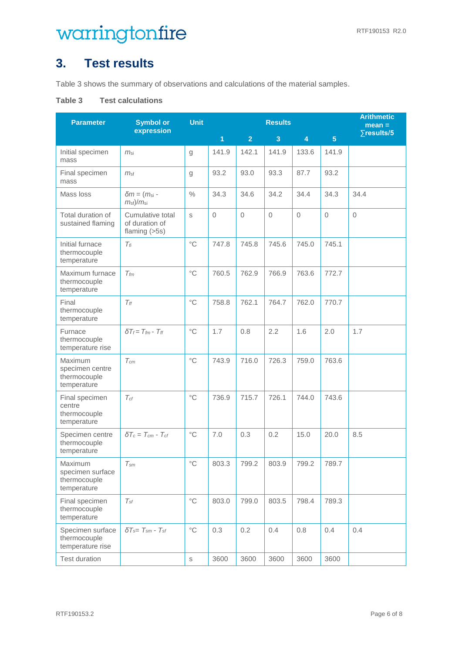## <span id="page-5-0"></span>**3. Test results**

[Table 3](#page-5-1) shows the summary of observations and calculations of the material samples.

#### <span id="page-5-1"></span>**Table 3 Test calculations**

| <b>Parameter</b>                                           | <b>Symbol or</b><br>expression                                  | <b>Unit</b>       | <b>Results</b> |                |             |                         |                | <b>Arithmetic</b><br>$mean =$ |
|------------------------------------------------------------|-----------------------------------------------------------------|-------------------|----------------|----------------|-------------|-------------------------|----------------|-------------------------------|
|                                                            |                                                                 |                   | $\overline{1}$ | $\overline{2}$ | 3           | $\overline{\mathbf{4}}$ | $\overline{5}$ | $\sqrt{1}$ results/5          |
| Initial specimen<br>mass                                   | m <sub>si</sub>                                                 | g                 | 141.9          | 142.1          | 141.9       | 133.6                   | 141.9          |                               |
| Final specimen<br>mass                                     | m <sub>st</sub>                                                 | g                 | 93.2           | 93.0           | 93.3        | 87.7                    | 93.2           |                               |
| Mass loss                                                  | $\delta m = (m_{\rm si} -$<br>m <sub>sf</sub> )/m <sub>si</sub> | $\frac{0}{0}$     | 34.3           | 34.6           | 34.2        | 34.4                    | 34.3           | 34.4                          |
| Total duration of<br>sustained flaming                     | Cumulative total<br>of duration of<br>flaming $(>5s)$           | S                 | $\mathbf 0$    | $\mathbf 0$    | $\mathbf 0$ | $\mathbf 0$             | $\mathbf 0$    | $\mathbf 0$                   |
| Initial furnace<br>thermocouple<br>temperature             | $T_{fi}$                                                        | $^{\circ}$ C      | 747.8          | 745.8          | 745.6       | 745.0                   | 745.1          |                               |
| Maximum furnace<br>thermocouple<br>temperature             | $T_{\text{fm}}$                                                 | $^{\circ}$ C      | 760.5          | 762.9          | 766.9       | 763.6                   | 772.7          |                               |
| Final<br>thermocouple<br>temperature                       | $T_{ff}$                                                        | $^{\circ}$ C      | 758.8          | 762.1          | 764.7       | 762.0                   | 770.7          |                               |
| Furnace<br>thermocouple<br>temperature rise                | $\delta T_f = T_{fm} - T_{ff}$                                  | $^{\circ}$ C      | 1.7            | 0.8            | 2.2         | 1.6                     | 2.0            | 1.7                           |
| Maximum<br>specimen centre<br>thermocouple<br>temperature  | $T_{cm}$                                                        | $^{\circ}$ C      | 743.9          | 716.0          | 726.3       | 759.0                   | 763.6          |                               |
| Final specimen<br>centre<br>thermocouple<br>temperature    | $T_{cf}$                                                        | $^{\circ}$ C      | 736.9          | 715.7          | 726.1       | 744.0                   | 743.6          |                               |
| Specimen centre<br>thermocouple<br>temperature             | $\delta T_c = T_{cm} - T_{cf}$                                  | $^{\circ}$ C      | 7.0            | 0.3            | 0.2         | 15.0                    | 20.0           | 8.5                           |
| Maximum<br>specimen surface<br>thermocouple<br>temperature | $\mathcal{T}_{sm}$                                              | °C                | 803.3          | 799.2          | 803.9       | 799.2                   | 789.7          |                               |
| Final specimen<br>thermocouple<br>temperature              | $T_{\textit{sf}}$                                               | $^{\circ}$ C      | 803.0          | 799.0          | 803.5       | 798.4                   | 789.3          |                               |
| Specimen surface<br>thermocouple<br>temperature rise       | $\delta T_{s} = T_{sm} - T_{sf}$                                | $^{\circ}{\rm C}$ | 0.3            | 0.2            | 0.4         | 0.8                     | 0.4            | 0.4                           |
| Test duration                                              |                                                                 | $\mathbb S$       | 3600           | 3600           | 3600        | 3600                    | 3600           |                               |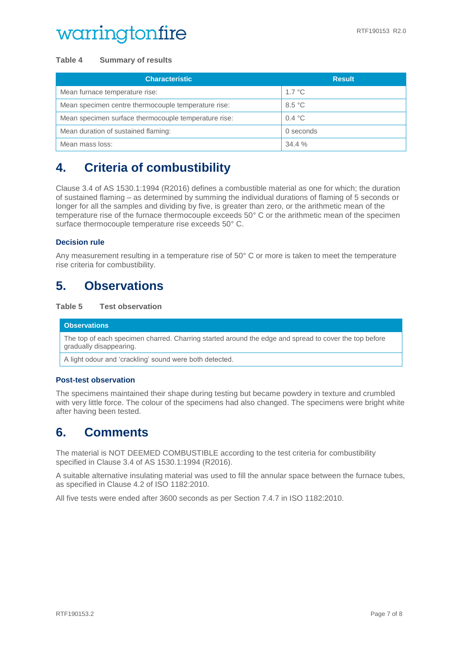#### **Table 4 Summary of results**

| <b>Characteristic</b>                                | <b>Result</b> |
|------------------------------------------------------|---------------|
| Mean furnace temperature rise:                       | 1.7 °C        |
| Mean specimen centre thermocouple temperature rise:  | 8.5 °C        |
| Mean specimen surface thermocouple temperature rise: | 0.4 °C        |
| Mean duration of sustained flaming:                  | 0 seconds     |
| Mean mass loss:                                      | 34.4%         |

## <span id="page-6-0"></span>**4. Criteria of combustibility**

Clause 3.4 of AS 1530.1:1994 (R2016) defines a combustible material as one for which; the duration of sustained flaming – as determined by summing the individual durations of flaming of 5 seconds or longer for all the samples and dividing by five, is greater than zero, or the arithmetic mean of the temperature rise of the furnace thermocouple exceeds 50° C or the arithmetic mean of the specimen surface thermocouple temperature rise exceeds 50° C.

#### **Decision rule**

Any measurement resulting in a temperature rise of 50° C or more is taken to meet the temperature rise criteria for combustibility.

### <span id="page-6-1"></span>**5. Observations**

#### **Table 5 Test observation**

#### **Observations** The top of each specimen charred. Charring started around the edge and spread to cover the top before gradually disappearing.

A light odour and 'crackling' sound were both detected.

#### **Post-test observation**

The specimens maintained their shape during testing but became powdery in texture and crumbled with very little force. The colour of the specimens had also changed. The specimens were bright white after having been tested.

### <span id="page-6-2"></span>**6. Comments**

The material is NOT DEEMED COMBUSTIBLE according to the test criteria for combustibility specified in Clause 3.4 of AS 1530.1:1994 (R2016).

A suitable alternative insulating material was used to fill the annular space between the furnace tubes, as specified in Clause 4.2 of ISO 1182:2010.

<span id="page-6-3"></span>All five tests were ended after 3600 seconds as per Section 7.4.7 in ISO 1182:2010.